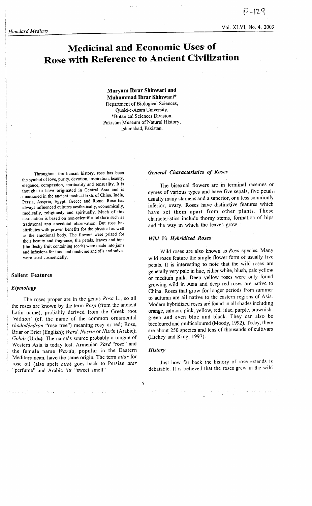$-129$ Vol. XLVI, No. 4, 2003

# Medicinal and Economic Uses of Rose with Reference to Ancient Civilization

Maryum Ibrar Shinwari and Muhammad Ibrar Shinwari\* Department of Biological Sciences, Quaid-e-Azam UniversitY, \*Botanical Sciences Division, Pakistan Museum of Natural History, Islamabad, Pakistan.

Throughout the human history, rose has been the symbol of love, purity, devotion, inspiration, beauty, elegance, compassion, spirituality and sensuality. It is thought to have originated in Central Asia and is mentioned in the ancient medical texts of China, India, Persia, Assyria, Egypt, Greece and Rome. Rose has always influenced cultures aesthetically, economically, medically, religiously and spiritually. Much of this association is based on non-scientific folklore such as traditional and anecdotal observation. But rose has attributes with proven benefits for the physical as well as the emotional body. The flowers were prized for their beauty and fragrance, the petals, leaves and hips (the fleshy fruit containing seeds) were made into jams and infusions for food and medicine and oils and salves were used cosmeticallY.

### Salient Features

## Etymology

The roses proper are in the genus Rosa L., so all the roses are known by the term Rosa (from the ancient Latin name), probably derived from the Greek root 'rhodon' (cf. the name of the common ornamental rhododéndron "rose tree") meaning rosy or red; Rose, Briar or Brier (English); Ward, Nasrin or Nisrin (Arabic); Golab (Urdu). The name's source probably a tongue of Western Asia is today lost. Armenian Vard "rose" and the female name Warda, popular in the Eastern Mediterranean, have the same origin. The term attar for rose oil (also spelt otto) goes back to Persian atar "perfume" and Arabic 'itr "sweet smell"

#### General Characteristics of Roses

The bisexual flowers are in terminal racemes or cymes of various types and have five sepals, five petals usually many stamens and a superior, or a less commonly inferior, ovary. Roses have distinctive features which have set them apart from other plants. These characteristics include thorny stems, formation of hips and the way in which the leaves grow.

#### Wild Vs Hybridized Roses

Wild roses are also known as Rosa species. Many wild roses feature the single flower form of usually five petals. It is interesting to note that the wild roses are generally very pale in hue, either white, blush, pale yellow or medium pink. Deep yellow roses were only found growing wild in Asia and deep red roses are native to China. Roses that grow for longer periods from summer to autumn are all native to the eastern regions of Asia. Modern hybridized roses are found in all shades including orange, salmon, pink, yellow, red, lilac, purple, brownishgreen and even blue and black. They can also be bicoloured and multicoloured (Moody,1992). Today, there are about 250 species and tens of thousands of cultivars (Hickey and King, 1997).

## **History**

Just how far back the history of rose extends is debatable. It is believed that the roses grew in the wild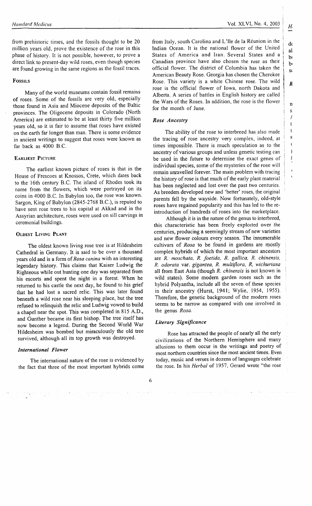from prehistoric times, and the fossils thought to be 20 million years old, prove the existence of the rose in this phase of history. It is not possible, however, to prove <sup>a</sup> direct link to present-day wild roses, even though species are found growing in the same regions as the fossil traces.

### **Fossils**

Many of the world museums contain fossil remains of roses. Some of the fossils are very old, especially those found in Asia and Miocene deposits of the Baltic provinces. The Oligocene deposits in Colorado (North America) are estimated to be at least thirty five million years old, so it is fair to assume that roses have existed on the earth far longer than man. There is some evidence in ancient writings to suggest that roses were known as far back as 4000 B.C.

## EARLIEST PICTURE

The earliest known picture of roses is that in the House of Frescoes at Knossos, Crete, which dates back to the l6th century B.C. The island of Rhodes took its name from the flowers, which were portrayed on its coins in 4000 B.C. In Babylon too, the rose was known. Sargon, King of Babylon (2845-2768 B.C.), is reputed to have sent rose trees to his capital at Akkad and in the Assyrian architecture, roses were used on sill carvings in ceremonial buildings.

#### OLDEST LIVING PLANT

The oldest known living rose tree is at Hildesheim Cathedral in Germany. It is said to be over a thousand years old and is a form of Rosa canina with an interesting legendary history. This claims that Kaiser Ludwig the Righteous while out hunting one day was separated from his escorts and spent the night in a forest. When he returned to his castle the next day, he found to his grief that he had lost a sacred relic. This was later found beneath a wild rose near his sleeping place, but the tree refused to relinquish the relic and Ludwig vowed to build <sup>a</sup>chapel near the spot. This was completed in 815 A.D., and Gunther became its first bishop. The tree itself has now become a legend. During the Second World War Hildesheim was bombed but miraculously the old tree survived, although all its top growth was destroyed.

## International Flower

The international nature of the rose is evidenced by the fact that three of the most important hybrids come dt al  $\mathbf{b}$ br S(

> n S / t t S  $\pmb{\zeta}$ I I

> > $\overline{\phantom{a}}$

R

from Italy, south Carolina and L'lle de la Réunion in the Indian Ocean. It is the national flower of the United States of America and lran. Several States and <sup>a</sup> Canadian province have also chosen the rose as their official flower. The district of Columbia has taken the American Beauty Rose. Georgia has chosen the Cherokee Rose. This variety is a white Chinese rose. The wild rose is the official flower of lowa, north Dakota and Alberta. A series of battles in English history are called the Wars of the Roses. In addition, the rose is the flower for the month of June.

# Rose Ancestry

The ability of the rose to interbreed has also made the tracing of rose ancestry very complex, indeed, at times impossible. There is much speculation as to the ancestry of various groups and unless genetic testing can be used in the future to determine the exact genes of individual species, some of the mysteries of the rose will remain unravelled forever. The main problem with tracing the history of rose is that much of the early plant material has been neglected and lost over the past two centuries. As breeders developed new and 'better' roses, the original parents fell by the wayside. Now fortunately, old-style roses have regained popularity and this has led to the reintroduction of hundreds of roses into the marketplace.

Although it is in the nature of the genus to interbreed, this characteristic has been freely explorted over the centuries, producing a seemingly stream of new varieties and new flower colours every season. The innumerable cultivars of Rosa to be found in gardens are mostly complex hybrids of which the most important ancestors are R.' moschata, R. foetida, R. gallica, R. chinensis, R. odorata var. gigantea, R. multiJlora, R, wichuriana all from East Asia (though  $R$ . *chinensis* is not known in wild states). Some modern garden roses such'as the hybrid Polyantha, include all the seven of these species in their ancestry (Hurst, l94l; Wylie, 1954, 1955). Therefore, the genetic background of the modern roses seems to be narrow as compared with one involved in the genus Rosa.

# Literary Significance

Rose has attracted the people of nearly all the early civilizations of the Northern Hemisphere and many allusions to them occur in the writings and poetry of most northem countries since the most ancient times. Even today, music and verses in dozens of languages celebrate the rose. In his Herbal of 1957, Gerard wrote "the rose

والمتحام والمتحر والأمال والمحاول والمحارب والمتحدث والمتحالة والمحاملة والمحاربة والمحارب والمتحرب والمحارب

 $\label{eq:2} \mathcal{L}=\sum_{i=1}^n\frac{1}{2}\sum_{i=1}^n\frac{1}{2}\sum_{i=1}^n\frac{1}{2}\sum_{i=1}^n\frac{1}{2}\sum_{i=1}^n\frac{1}{2}\sum_{i=1}^n\frac{1}{2}\sum_{i=1}^n\frac{1}{2}\sum_{i=1}^n\frac{1}{2}\sum_{i=1}^n\frac{1}{2}\sum_{i=1}^n\frac{1}{2}\sum_{i=1}^n\frac{1}{2}\sum_{i=1}^n\frac{1}{2}\sum_{i=1}^n\frac{1}{2}\sum_{i=1}^n\frac{$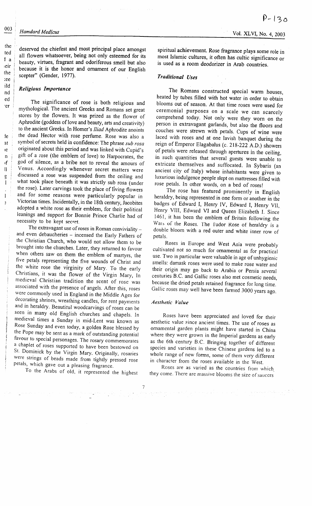deserved the chiefest and most principal place amongst all flowers whatsoever, being not only esteemed for its beauty, virtues, fragrant and odoriferous smell but also because it is the honor and' ornament of our English scepter" (Gender, 1977).

### Retigious Importance

The significance of rose is both religious and mythological. The ancient Greeks and Romans set great stores by the flowers. It was prized as the flower of Aphrodite (goddess of love and beauty, arts and creativity) to the ancient Greeks. In Homer's Iliad Aphrodite anoints the dead Hector with rose perfume. Rose was also <sup>a</sup> symbol of secrets held in confidence: The phrase sub rosa originated about this period and was linked with Cupid's gift of a rose (the emblem of love) to Harpocrates, the god of silence, as a bribe not to reveal the amours of Venus. Accordingly whenever secret matters were discussed a rose was suspended from the ceiling and what took place beneath it was strictly sub rosa (under the rose). Later carvings took the place of living flowers and for some reasons were particularly popular in Victorian times. Incidentally, in the l8th century, Jacobites adopted a white rose as their emblem, for their political leanings and support for Bonnie Prince Charlie had of necessity to be kept secret.

The extravagant use of roses in Roman conviviality and even debaucheries - incensed the Early Fathers of the Christian Church, who would not allow them to be brought into the churches. Later, they returned to favour when others saw on them the emblem of martyrs, the five petals representing the five wounds of Christ and the white rose the virginity of Mary. To the early Christians, it was the flower of the Virgin Mary, In medieval Christian tradition the scent of rose was associated with the presence of angels. After this, roses were commonly used in England in the Middle Ages for decorating shrines, wreathing candles, for rent payments and in heraldry. Beautitul woodcarvings of roses can be seen in many old English churches and chapels. In medieval times a Sunday in mid-Lent was known as Rose Sunday and even today, a golden Rose blessed by the Pope may be sent as a mark of outstanding potential favour to special personages. The rosary commemorates a chaplet of roses supported to have been bestowed on St. Dominick by the Virgin Mary. Originally, rosaries were strings of beads made from tightly pressed rose<br>petals, which gave out a pleasing fragrance.

To the Arabs of old, it represented the highest

spiritual achievement. Rose fragrance plays some role in most Islamic cultures, it often has cultic significance or is used as a room deodorizer in Arab countries.

## Traditional Uses

The Romans constructed special warm houses, heated by tubes. filled with hot water in order to obtain blooms out of season. At that time roses were used for ceremonial purposes on a scale we can scarcely comprehend today. Not only were they worn on the person in extravagant garlands, but also the floors and couches were strewn with petals. Cups of wine were laced with roses and at one lavish banquet during the reign of Emperor Elagabalus (c.2lg-222 A.D.) showers of petals were released through apertures in the ceiling, in such quantities that several guests were unable to extricate themselves and suffocated. In Sybaris (an ancient city of Italy) whose inhabitants were given to luxurious indulgence people slept on mattresses filled with rose petals. In other words, on a bed of roses!

The rose has featured prominently in English heraldry, being represented in one form or another in the badges of Edward I, Henry IV, Edward I, Henry VII, Henry VIII, Edward VI and Queen Elizabeth I. Since 1461, it has been the emblem of Britain following the Wars of the Roses. The Iudor Rose of heraldry is a double bloom with a red outer and white inner row of petals.

Roses in Europe and West Asia were probably cultivated not so much for ornamental as for practical use. Two in particular were valuable in age of unhygienic smells: damask roses were used to make rose water and their origin may go back to Arabia or persia several centuries B.C. and Gallic roses also met cosmetic needs, because the dried petals retained fragrance for long time. Gallic roses may well have been farmed 3000 years ago.

### Aesthetic Volue

Roses have been appreciated and loved for their aesthetic value since ancient times. The use of roses as ornamental garden plants might have started in China where they were grown in the Imperial gardens as early as the 6th cenrury B.C. Bringing together of differeni species and varieties in these Chinese gardens led to <sup>a</sup> whole range of new forms, some of them very different in character from the roses available in the West.

Roses are as varied as the countries from which they come. There are massive blooms the size of saucers

the ted la ieir the iee

ild nd ed 'er

le at ie  $\mathbf{n}$ ٠f  $\mathbf{I}$  $\mathbf{g}% _{T}$  $\mathbf{l}$ 

 $\mathbf{l}$  $\ddot{ }$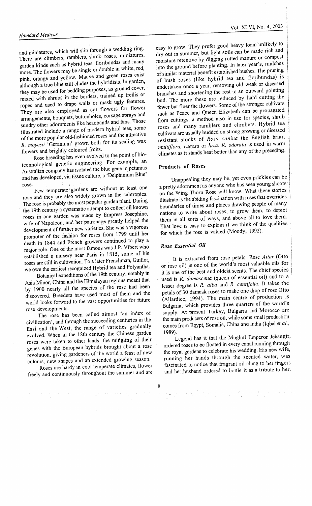#### **Hamdard Medicus**

and miniatures, which will slip through a wedding ring. There are climbers, ramblers, shrub roses, miniatures, garden kinds such as hybrid teas, floribundas and many more. The flowers may be single or double in white, red, pink, orange and yellow. Mauve and green roses exist although a true blue still eludes the hybridists. In garden, they may be used for bedding purposes, as ground cover, mixed with shrubs in the borders, trained up trellis or ropes and used to drape walls or mask ugly features. They are also employed as cut flowers for flower arrangements, bouquets, buttonholes, corsage sprays and sundry other adornments like headbands and fans. Those illustrated include a range of modern hybrid teas, some of the more popular old-fashioned roses and the attractive R. moyesii 'Geranium' grown both for its sealing wax flowers and brightly coloured fruits.

Rose breeding has even evolved to the point of biotechnological genetic engineering. For example, an Australian company has isolated the blue gene in petunias and has developed, via tissue culture, a 'Delphinium Blue' rose

Few temperate gardens are without at least one rose and they are also widely grown in the subtropics. The rose is probably the most popular garden plant. During the 19th century a systematic attempt to collect all known roses in one garden was made by Empress Josephine, wife of Napoleon, and her patronage greatly helped the development of further new varieties. She was a vigorous promoter of the fashion for roses from 1799 until her death in 1844 and French growers continued to play a major role. One of the most famous was J.P. Vibert who established a nursery near Paris in 1815, some of his roses are still in cultivation. To a later Frenchman, Guillot, we owe the earliest recognized Hybrid tea and Polyantha.

Botanical expeditions of the 19th century, notably in Asia Minor, China and the Himalayan regions meant that by 1900 nearly all the species of the rose had been discovered. Breeders have used most of them and the world looks forward to the vast opportunities for future rose developments.

The rose has been called almost 'an index of civilization', and through the succeeding centuries in the East and the West, the range of varieties gradually evolved. When in the 18th century the Chinese garden roses were taken to other lands, the mingling of their genes with the European hybrids brought about a rose revolution, giving gardeners of the world a feast of new colours, new shapes and an extended growing season.

Roses are hardy in cool temperate climates, flower freely and continuously throughout the summer and are

easy to grow. They prefer good heavy loam unlikely to dry out in summer, but light soils can be made rich and moisture retentive by digging rotted manure or compost into the ground before planting. In later year's, mulches of similar material benefit established bushes. The pruning of bush roses (like hybrid tea and floribundas) is undertaken once a year, removing old weak or diseased branches and shortening the rest to an outward pointing bud. The more these are reduced by hard cutting the fewer but finer the flowers. Some of the stronger cultivars such as Peace and Queen Elizabeth can be propagated from cuttings, a method also in use for species, shrub roses and many ramblers and climbers. Hybrid tea cultivars are usually budded on strong growing or diseased resistant stocks of Rosa canina the English briar, multiflora, rugosa or laxa. R. odorata is used in warm climates as it stands heat better than any of the preceding.

## Products of Roses

Unappealing they may be, yet even prickles can be a pretty adornment as anyone who has seen young shoots on the Wing Thorn Rose will know. What these stories illustrate is the abiding fascination with roses that overrides boundaries of times and places drawing people of many nations to write about roses, to grow them, to depict them in all sorts of ways, and above all to love them. That love is easy to explain if we think of the qualities for which the rose is valued (Moody, 1992).

## Rose Essential Oil

It is extracted from rose petals. Rose Attar (Otto or rose oil) is one of the world's most valuable oils for it is one of the best and oldest scents. The chief species used is R. damascena (queen of essential oil) and to a lesser degree is R. alba and R. centifolia. It takes the petals of 30 damask roses to make one drop of rose Otto (Allardice, 1994). The main centre of production is Bulgaria, which provides three quarters of the world's supply. At present Turkey, Bulgaria and Morocco are the main producers of rose oil, while some small production comes from Egypt, Somalia, China and India (Iqbal et al., 1989).

Legend has it that the Mughul Emperor Jehangir, ordered roses to be floated in every canal running through the royal gardens to celebrate his wedding. His new wife, running her hands through the scented water, was fascinated to notice that fragrant oil clung to her fingers and her husband ordered to bottle it as a tribute to her.

 $\label{eq:3.1} \Phi_{\mathcal{A}}(x,y) = \frac{1}{2} \sum_{\mathcal{A}} \frac{1}{2} \sum_{\mathcal{A}} \frac{1}{2} \sum_{\mathcal{A}} \frac{1}{2} \sum_{\mathcal{A}} \frac{1}{2} \sum_{\mathcal{A}} \frac{1}{2} \sum_{\mathcal{A}} \frac{1}{2} \sum_{\mathcal{A}} \frac{1}{2} \sum_{\mathcal{A}} \frac{1}{2} \sum_{\mathcal{A}} \frac{1}{2} \sum_{\mathcal{A}} \frac{1}{2} \sum_{\mathcal{A}} \frac{1}{2} \sum_{\mathcal{A}} \frac{1}{$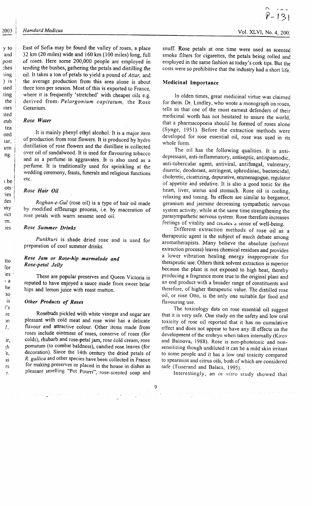#### Hamdard Medicus

yto and post :hes **1ing** ) is rsed ting the vars ated rrub tea rsed iar, lrTn

rng. <sup>I</sup> t I { I i i kama k r be  $\cdot$ ots $\cdot$ t 'ies i des rny rict :m. ies

tto for ies  $\mathbf{a}$ he :to is I's re )n t.,

> ir, th 'e, IS rS 'r.

East of Sofia may be found the valley of roses, a place 32km (20 miles) wide and 160 km (100 miles) long, full of roses. Here some 200,000 people are employed in tending the bushes, gathering the petals and distilling the o.il. It takes a ton of petals to yield a pound of Attar, and the average production from this area alone is about three tons per season. Most of this is exported to France, where it is frequently 'stretched' with cheaper oils e.g. derived from *Pelargonium capitatum*, the Rose Geranium.

## Rose Water

It is mainly phenyl ethyl alcohol. It is a major item of production from rose flowers. It is produced by hydro distillation of rose flowers and the distillate is collected over oil of sandalwood. It is used for flavouring tobacco and as a perfume in aggravates. It is also used as <sup>a</sup> perfume. It is traditionally used for sprinkling at the wedding ceremony, feasts, funerals and religious functions etc.

## Rose Hair Oil

Roghan-e-Grl (rose oil) is a type of hair oil made bv modified effleurage process, i.e. by maceration of rose petals with warm sesame seed oil.

## Rose Summer Drinks

Punkhuri is shade dried rose and is used for preparation of cool summer drinks.

# Rose Jam or Rose-hip marmalade and Rose-petal Jelly

These are popular preserves and Queen Victoria is reputed to have enjoyed a sauce made from sweet briar hips and lemon juice with roast mutton.

#### Other Products of Roses

الحاد كولت المعاد للمكل ماد مواقيات

Rosebuds pickled with white vinegar and sugar are pleasant with cold meat and rose wine has a delicate flavour and attractive colour. Other items made from roses include ointment of roses, conserve of roses (for colds), rhubarb and rose-petal jam, rose cold cream, rose pomatum (to combat baldness), candied rose leaves (for decoration). Since the l4th century the dried petals of R. gallica and other species have been collected in France for making preserves or placed in the house in dishes as pleasant smelling "Pot Pourri", rose-scented soap and

snuff. Rose petals at one time were used as scented smoke filters for cigarettes, the petals being rolled and employed in the same fashion as today's cork tips. But the costs were so prohibitive that the industry had a short life.

## Medicinal Importance

In olden times, great medicinal virtue was claimed for them. Dr. Lindley, who wrote a monograph on roses, tells us that one of the most eamest defenders of their medicinal worth has not hesitated to assure the world, that a pharmacopoeia should be formed of roses alone (Synge, l95l). Before the extraction methods were developed for rose essential oil, rose was used in its whole form.

The oil has the following qualities. It is antidepressant, anti-inflammatory, antiseptic, antispasmodic, anti-tubercular agent, antiviral, antifungal, vulnerary, diuretic, deodorant, astringent, aphrodisiac, bactericidal, choleretic, cicatrizing, depurative, ernmenagogue, regulator of appetite and sedative. It is also a good tonic for the heart, liver, uterus and stomach. Rose oil is cooling, relaxing and toning. Its effects are similar to bergamot, geranium and jasmine decreasing sympathetic nervous system activity, while at the same time strengthening the parasympathetic nervous system. Rose therefore increases feelings of vitality and creates a sense of well-being.

Different extraction methods of rose oil as <sup>a</sup> therapeutic agent is the subject of much debate among aromatherapists. Many believe the absolute (solvent extraction process) leaves chemical residues and provides a lower vibration healing energy inappropriate for therapeutic use. Others think solvent extraction is superior because the plant is not exposed to high heat, thereby producing a fragrance more true to the original plant and an end product with a broader range of constituents and therefore, of higher therapeutic value. The distilled rose oil, or rose Otto, is the only one suitable for food and flavouring use.

The toxicology data on rose essential oil suggest that it is very safe. One study on the safery and low oral toxicity of rose oil reported that it has no cumulative effect and does not appear to have any ill effects on the development of the embryo when taken internally (Kirov and Bainova, 1988). Rose is non-phototoxic and nonsensitizing though undiluted it can be a mild skin irritant to some people and it has a low oral toxicity compared to spearmint and citrus oils, both of which are considered safe (Tisserand and Balacs, 1995).

Interestingly, an in vitro study showed that

 $\label{eq:convergence} \begin{split} \mathcal{L}_{\mathcal{G}}(x,y) \leq \mathcal{L}_{\mathcal{G}}(x,y) \leq \mathcal{L}_{\mathcal{G}}(x,y) \leq \mathcal{L}_{\mathcal{G}}(x,y) \leq \mathcal{L}_{\mathcal{G}}(x,y) \leq \mathcal{L}_{\mathcal{G}}(x,y) \leq \mathcal{L}_{\mathcal{G}}(x,y) \leq \mathcal{L}_{\mathcal{G}}(x,y) \leq \mathcal{L}_{\mathcal{G}}(x,y) \leq \mathcal{L}_{\mathcal{G}}(x,y) \leq \mathcal{L}_{\mathcal{G}}(x,y) \$ 

 $\frac{1}{2} \left( \frac{1}{2} \right)^{\frac{1}{2}} \left( \frac{1}{2} \right)^{\frac{1}{2}} \left( \frac{1}{2} \right)^{\frac{1}{2}} \left( \frac{1}{2} \right)^{\frac{1}{2}} \left( \frac{1}{2} \right)^{\frac{1}{2}} \left( \frac{1}{2} \right)^{\frac{1}{2}} \left( \frac{1}{2} \right)^{\frac{1}{2}} \left( \frac{1}{2} \right)^{\frac{1}{2}} \left( \frac{1}{2} \right)^{\frac{1}{2}} \left( \frac{1}{2} \right)^{\frac{1}{2}} \left( \frac{1}{2} \right)^$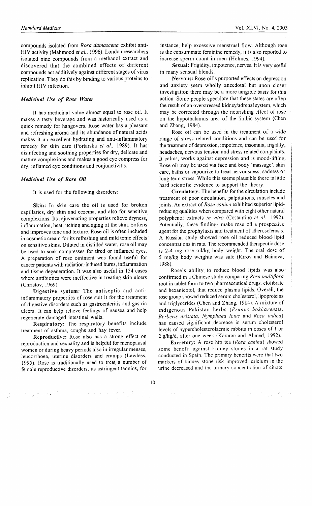compounds isolated from Rosa damascena exhibit anti-HIV activity (Mahmood et al., 1996). London researchers isolated nine compounds from a methanol extract and discovered that the combined effects of different compounds act additively against different stages of virus replication. They do this by binding to various proteins to inhibit HIV infection.

### Medicinal Use of Rose Water

It has medicinal value almost equal to rose oil. It makes a tasty beverage and was historically used as <sup>a</sup> quick remedy for hangovers. Rose water has a pleasant and refreshing aroma and its abundance of narural acids makes it an excellent hydrating and anti-inflammatory remedy for skin care (Portarska et al., 1989). It has disinfecting and soothing properties for dry, delicate and mature complexions and makes a good eye compress for dry, inflamed eye conditions and conjunctivitis.

## Medicinal Use of Rose Oil

It is used for the following disorders:

Skin: In skin care the oil is used for broken capillaries, dry skin and eczema, and also for sensitive complexions. its rejuvenating properties relieve dryness, inflammation, heat, itching and aging of the skin. Softens and improves tone and texture. Rose oil is often included in cosmetic cream for its refreshing and mild tonic effects on sensitive skins. Diluted in distilled water, rose oil may be used to soak compresses for tired or inflamed eyes. A preparation of rose ointment was found useful for cancer patients with radiation-induced burns, inflammation and tissue degeneration. It was also useful in 154 cases where antibiotics were ineffective in treating skin ulcers (Christov, 1969).

Digestive system: The antiseptic and antiinflammatory properties of rose suit it for the treatment of digestive disorders such as gastroenteritis and gastric ulcers. It can help relieve feelings of nausea and help regenerate damaged intestinal walls.

Respiratory: The respiratory benefits include treatment of asthma, coughs and hay fever.

Reproductive: Rose also has a strong effect on reproduction and sexuality and is helpful for menopausal women or during heavy periods also in irregular menses, leucorrhoea, uterine disorders and cramps (Lawless, 1995). Rose is traditionally used to treat a number of female reproductive disorders, its astringent tannins, for

instance, help excessive menstrual flow. Although rose is the consummate feminine remedy, it is also reported to increase sperrn count in men (Holmes, 1994).

Sexual: Frigidity, impotence, nerves. It is very useful in many sensual blends.

Nervous: Rose oil's purported effects on depression and anxiety seem wholly anecdotal but upon closer investigation there may be a more tangible basis for this action. Some people speculate that these states are often the result of an overstressed kidney/adrenal system, which may be corrected through the nourishing effect of rose on the hypothalamus area of the limbic system (Chen and Zhang, 1984).

Rose oil can be used in the treatment of a wide range of stress related conditions and can be used for the treatment of depression, impotence, insomnia, frigidity, headaches, nervous tension and stress related complaints. It calms, works against depression and is mood-lifting. Rose oil may be used via face and body 'massage', skin care, baths or vapourize to treat nervousness, sadness or long term stress. While this seems plausible there is little hard scientific evidence to support the theory.

Circulatory: The benefits forthe circulation include treatment of poor circulation, palpitations, muscles and joints. An extract of Rosa canina exhibited superior lipidreducing qualities when compared with eight other natural polyphenol extracts in vitro (Costantino et al., 1992). Potentialiy, these findings make rose oil a prospective agent for the prophylaxis and treatment of atherosclerosis. A Russian study showed rose oil reduced blood'lipid concentrations in rats. The recommended therapeutic dose is 2-4 mg rose oil/kg body weight. The oral dose of 5 mg/kg body weights was safe (Kirov and Bainova, <sup>r</sup>988).

Rose's ability to reduce blood lipids was also confirmed in a Chinese study comparing Rosa multifiora root in tablet form to two pharmaceutical drugs, clofibrate and hexanicotol, that reduce plasma lipids. Overall, the rose group showed reduced serum cholesterol, lipoproteins and triglycerides (Chen and Zhang, 1984). A mixture of indigenous Pakistan herbs (Prunus bokharensis, Berberis arisiata, Nymphaea lotus and Rosa indica) has caused significant ,decrease in serum cholesterol levels of hypercholesterolaemic rabbits in doses of I or 2 g/kg/d, after one week (Kamran and Ahmed, 1992).

Excretory: A rose hip tea (Rosa canina) showed some benefit against kidney stones in a rat study conducted in Spain. The primary benefits were that two markers of kidney stone risk improved, calcium in the urine decreased and the urinary conccntration of citratc

 $\sim 10^{11}$  and  $\sim 10^{11}$  and  $\sim 10^{11}$ 

l0